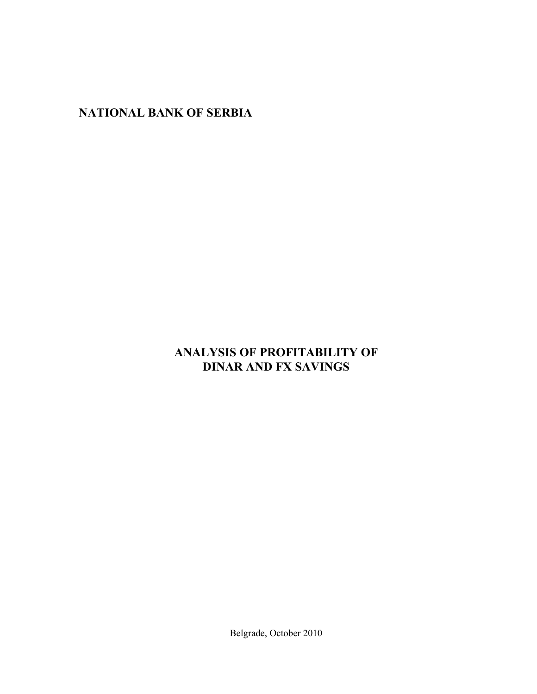**NATIONAL BANK OF SERBIA** 

# **ANALYSIS OF PROFITABILITY OF DINAR AND FX SAVINGS**

Belgrade, October 2010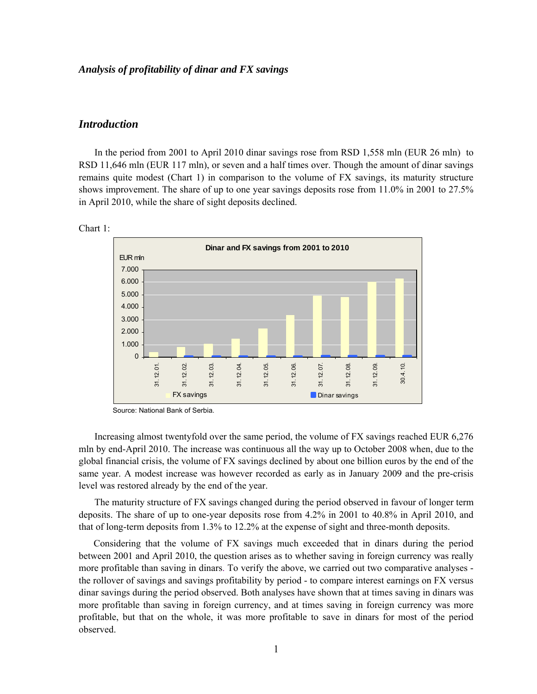## *Analysis of profitability of dinar and FX savings*

## *Introduction*

In the period from 2001 to April 2010 dinar savings rose from RSD 1,558 mln (EUR 26 mln) to RSD 11,646 mln (EUR 117 mln), or seven and a half times over. Though the amount of dinar savings remains quite modest (Chart 1) in comparison to the volume of FX savings, its maturity structure shows improvement. The share of up to one year savings deposits rose from 11.0% in 2001 to 27.5% in April 2010, while the share of sight deposits declined.



 $\Gamma$  Chart 1:  $\Gamma$ 

Source: National Bank of Serbia.

Increasing almost twentyfold over the same period, the volume of FX savings reached EUR 6,276 mln by end-April 2010. The increase was continuous all the way up to October 2008 when, due to the global financial crisis, the volume of FX savings declined by about one billion euros by the end of the same year. A modest increase was however recorded as early as in January 2009 and the pre-crisis level was restored already by the end of the year.

The maturity structure of FX savings changed during the period observed in favour of longer term deposits. The share of up to one-year deposits rose from 4.2% in 2001 to 40.8% in April 2010, and that of long-term deposits from 1.3% to 12.2% at the expense of sight and three-month deposits.

 Considering that the volume of FX savings much exceeded that in dinars during the period between 2001 and April 2010, the question arises as to whether saving in foreign currency was really more profitable than saving in dinars. To verify the above, we carried out two comparative analyses the rollover of savings and savings profitability by period - to compare interest earnings on FX versus dinar savings during the period observed. Both analyses have shown that at times saving in dinars was more profitable than saving in foreign currency, and at times saving in foreign currency was more profitable, but that on the whole, it was more profitable to save in dinars for most of the period observed.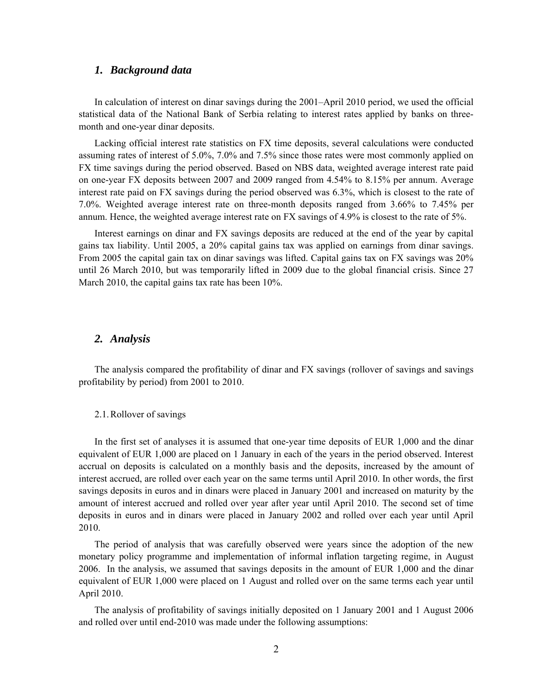# *1. Background data*

In calculation of interest on dinar savings during the 2001–April 2010 period, we used the official statistical data of the National Bank of Serbia relating to interest rates applied by banks on threemonth and one-year dinar deposits.

Lacking official interest rate statistics on FX time deposits, several calculations were conducted assuming rates of interest of 5.0%, 7.0% and 7.5% since those rates were most commonly applied on FX time savings during the period observed. Based on NBS data, weighted average interest rate paid on one-year FX deposits between 2007 and 2009 ranged from 4.54% to 8.15% per annum. Average interest rate paid on FX savings during the period observed was 6.3%, which is closest to the rate of 7.0%. Weighted average interest rate on three-month deposits ranged from 3.66% to 7.45% per annum. Hence, the weighted average interest rate on FX savings of 4.9% is closest to the rate of 5%.

Interest earnings on dinar and FX savings deposits are reduced at the end of the year by capital gains tax liability. Until 2005, a 20% capital gains tax was applied on earnings from dinar savings. From 2005 the capital gain tax on dinar savings was lifted. Capital gains tax on FX savings was 20% until 26 March 2010, but was temporarily lifted in 2009 due to the global financial crisis. Since 27 March 2010, the capital gains tax rate has been 10%.

# *2. Analysis*

The analysis compared the profitability of dinar and FX savings (rollover of savings and savings profitability by period) from 2001 to 2010.

### 2.1.Rollover of savings

In the first set of analyses it is assumed that one-year time deposits of EUR 1,000 and the dinar equivalent of EUR 1,000 are placed on 1 January in each of the years in the period observed. Interest accrual on deposits is calculated on a monthly basis and the deposits, increased by the amount of interest accrued, are rolled over each year on the same terms until April 2010. In other words, the first savings deposits in euros and in dinars were placed in January 2001 and increased on maturity by the amount of interest accrued and rolled over year after year until April 2010. The second set of time deposits in euros and in dinars were placed in January 2002 and rolled over each year until April 2010.

The period of analysis that was carefully observed were years since the adoption of the new monetary policy programme and implementation of informal inflation targeting regime, in August 2006. In the analysis, we assumed that savings deposits in the amount of EUR 1,000 and the dinar equivalent of EUR 1,000 were placed on 1 August and rolled over on the same terms each year until April 2010.

The analysis of profitability of savings initially deposited on 1 January 2001 and 1 August 2006 and rolled over until end-2010 was made under the following assumptions: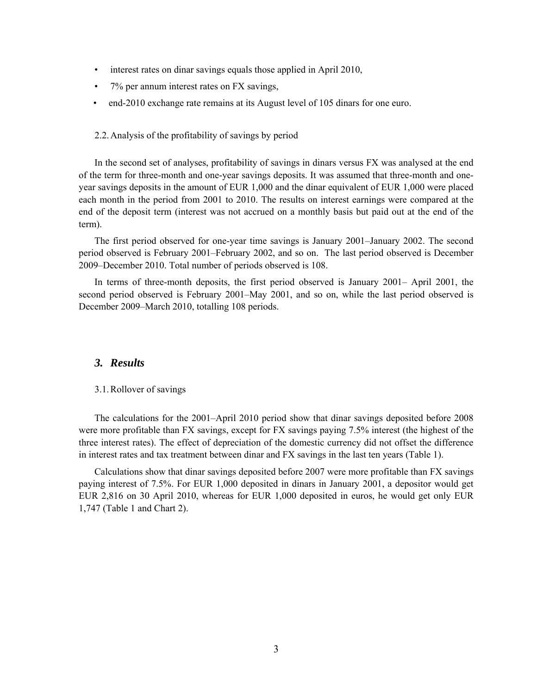- interest rates on dinar savings equals those applied in April 2010,
- 7% per annum interest rates on FX savings,
- end-2010 exchange rate remains at its August level of 105 dinars for one euro.

### 2.2.Analysis of the profitability of savings by period

In the second set of analyses, profitability of savings in dinars versus FX was analysed at the end of the term for three-month and one-year savings deposits. It was assumed that three-month and oneyear savings deposits in the amount of EUR 1,000 and the dinar equivalent of EUR 1,000 were placed each month in the period from 2001 to 2010. The results on interest earnings were compared at the end of the deposit term (interest was not accrued on a monthly basis but paid out at the end of the term).

The first period observed for one-year time savings is January 2001–January 2002. The second period observed is February 2001–February 2002, and so on. The last period observed is December 2009–December 2010. Total number of periods observed is 108.

In terms of three-month deposits, the first period observed is January 2001– April 2001, the second period observed is February 2001–May 2001, and so on, while the last period observed is December 2009–March 2010, totalling 108 periods.

# *3. Results*

### 3.1.Rollover of savings

The calculations for the 2001–April 2010 period show that dinar savings deposited before 2008 were more profitable than FX savings, except for FX savings paying 7.5% interest (the highest of the three interest rates). The effect of depreciation of the domestic currency did not offset the difference in interest rates and tax treatment between dinar and FX savings in the last ten years (Table 1).

Calculations show that dinar savings deposited before 2007 were more profitable than FX savings paying interest of 7.5%. For EUR 1,000 deposited in dinars in January 2001, a depositor would get EUR 2,816 on 30 April 2010, whereas for EUR 1,000 deposited in euros, he would get only EUR 1,747 (Table 1 and Chart 2).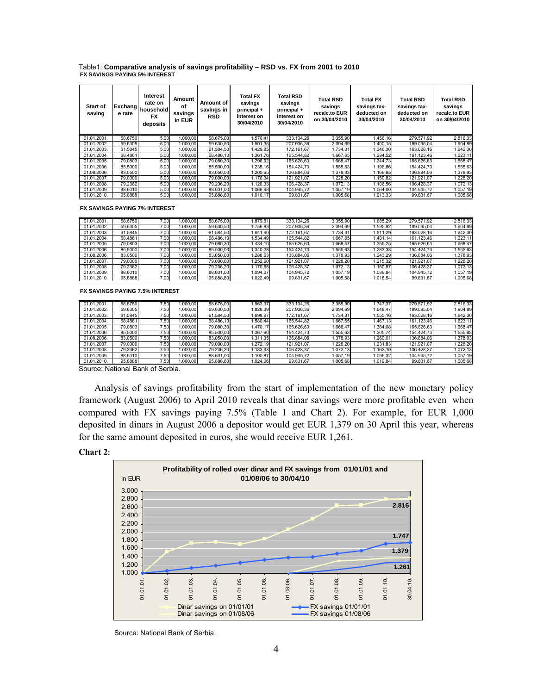Table1: **Comparative analysis of savings profitability – RSD vs. FX from 2001 to 2010 FX SAVINGS PAYING 5% INTEREST** 

| Start of<br>saving | Exchang<br>e rate | Interest<br>rate on<br>household<br><b>FX</b><br>deposits | Amount<br>οf<br>savings<br>in EUR | Amount of<br>savings in<br><b>RSD</b> | <b>Total FX</b><br>savings<br>principal +<br>interest on<br>30/04/2010 | Total RSD<br>savings<br>principal +<br>interest on<br>30/04/2010 | Total RSD<br>savings<br>recalc.to EUR<br>on 30/04/2010 | <b>Total FX</b><br>savings tax-<br>deducted on<br>30/04/2010 | <b>Total RSD</b><br>savings tax-<br>deducted on<br>30/04/2010 | <b>Total RSD</b><br>savings<br>recalc.to EUR<br>on 30/04/2010 |
|--------------------|-------------------|-----------------------------------------------------------|-----------------------------------|---------------------------------------|------------------------------------------------------------------------|------------------------------------------------------------------|--------------------------------------------------------|--------------------------------------------------------------|---------------------------------------------------------------|---------------------------------------------------------------|
| 01.01.2001.        | 58,6750           | 5,00                                                      | 1.000.00                          | 58.675.00                             | 1.576,41                                                               | 333.134.26                                                       | 3.355,90                                               | 1.456,16                                                     | 279.571.92                                                    | 2.816,33                                                      |
| 01.01.2002.        | 59,6305           | 5,00                                                      | 1.000,00                          | 59.630,50                             | 1.501,35                                                               | 207.936,36                                                       | 2.094,69                                               | 1.400.15                                                     | 189.095,04                                                    | 1.904,89                                                      |
| 01.01.2003.        | 61.5845           | 5,00                                                      | 1.000,00                          | 61.584,50                             | 1.429,85                                                               | 172.161,67                                                       | 1.734,31                                               | 1.346,30                                                     | 163.028,16                                                    | 1.642,30                                                      |
| 01.01.2004.        | 68.4861           | 5,00                                                      | 1.000,00                          | 68.486.10                             | 1.361.76                                                               | 165.544.82                                                       | 1.667.65                                               | 1.294.52                                                     | 161.123.46                                                    | 1.623,11                                                      |
| 01.01.2005.        | 79.0803           | 5,00                                                      | 1.000.00                          | 79.080.30                             | 1.296,92                                                               | 165.626,63                                                       | 1.668.47                                               | 1.244.73                                                     | 165.626,63                                                    | 1.668,47                                                      |
| 01.01.2006.        | 85.5000           | 5,00                                                      | 1.000.00                          | 85.500.00                             | 1.235.16                                                               | 154.424.73                                                       | .555.63                                                | 1.196.86                                                     | 154.424.73                                                    | 1.555,63                                                      |
| 01.08.2006.        | 83.0500           | 5,00                                                      | 1.000,00                          | 83.050,00                             | 1.200,65                                                               | 136.884.06                                                       | 1.378,93                                               | 1.169,85                                                     | 136.884,06                                                    | 1.378,93                                                      |
| 01.01.2007.        | 79,0000           | 5,00                                                      | 1.000,00                          | 79,000.00                             | 1.176,34                                                               | 121.921,07                                                       | .228,20                                                | 1.150,82                                                     | 121.921,07                                                    | .228,20                                                       |
| 01.01.2008.        | 79.2362           | 5,00                                                      | 1.000,00                          | 79.236,20                             | 1.120,33                                                               | 106.428,37                                                       | 1.072.13                                               | 1.106,56                                                     | 106.428,37                                                    | 1.072,13                                                      |
| 01.01.2009.        | 88.6010           | 5,00                                                      | 1.000.00                          | 88.601.00                             | 1.066.98                                                               | 104.945.72                                                       | 1.057.19                                               | 1.064,00                                                     | 104.945,72                                                    | 1.057,19                                                      |
| 01.01.2010.        | 95.8888           | 5,00                                                      | 1.000.00                          | 95.888.80                             | 1.016.17                                                               | 99.831,67                                                        | 1.005.68                                               | 1.013,33                                                     | 99.831,67                                                     | 1.005,68                                                      |

**FX SAVINGS PAYING 7% INTEREST** 

| 01.01.2001  | 58.6750 | 7.001 | .000.00 | 58.675.00 | 1.879.81 | 333.134.26 | 3.355.90 | .685.29   | 279.571.92 | 2.816,33 |
|-------------|---------|-------|---------|-----------|----------|------------|----------|-----------|------------|----------|
| 01.01.2002. | 59.6305 | 7,00  | .000.00 | 59.630,50 | 1.756.83 | 207.936.36 | 2.094,69 | .595.92   | 189.095,04 | .904,89  |
| 01.01.2003. | 61.5845 | 7,00  | .000.00 | 61.584.50 | 1.641.90 | 172.161.67 | .734.31  | 1.511,29  | 163.028.16 | .642,30  |
| 01.01.2004. | 68.4861 | 7,00  | .000.00 | 68.486.10 | 1.534,49 | 165.544.82 | .667,65  | 1.431, 14 | 161.123,46 | 1.623,11 |
| 01.01.2005. | 79.0803 | 7.00  | .000.00 | 79.080.30 | 1.434.10 | 165.626.63 | .668.47  | .355.25   | 165.626.63 | .668,47  |
| 01.01.2006. | 85,5000 | 7.00  | .000.00 | 85.500.00 | 1.340.28 | 154.424.73 | .555.63  | .283.38   | 154.424.73 | .555,63  |
| 01.08.2006. | 83.0500 | 7.00  | .000.00 | 83.050.00 | .288.63  | 136.884.06 | .378,93  | .243.29   | 136.884.06 | 1.378,93 |
| 01.01.2007. | 79,0000 | 7.00  | .000.00 | 79,000.00 | .252.60  | 121.921.07 | .228.20  | 1.215.32  | 121.921.07 | .228,20  |
| 01.01.2008. | 79.2362 | 7.00  | .000.00 | 79.236.20 | 1.170.65 | 106.428.37 | .072.13  | 1.150.87  | 106.428.37 | 1.072.13 |
| 01.01.2009. | 88.6010 | 7.00  | .000.00 | 88.601.00 | 1.094.07 | 104.945.72 | .057.19  | 1.089.84  | 104.945.72 | 1.057.19 |
| 01.01.2010. | 95.8888 | 7,00  | .000.00 | 95.888.80 | 1.022.49 | 99.831.67  | .005.68  | 1.018.54  | 99.831.67  | 1.005,68 |

#### **FX SAVINGS PAYING 7.5% INTEREST**

| 01.01.2001. | 58.6750 | 7.50 | .000.00 | 58.675.00 | .963.37 | 333.134.26 | 3.355.90 | .747.37  | 279.571.92 | 2.816,33 |
|-------------|---------|------|---------|-----------|---------|------------|----------|----------|------------|----------|
| 01.01.2002. | 59.6305 | 7.50 | .000.00 | 59.630.50 | .826.39 | 207.936.36 | 2.094.69 | 1.648.47 | 189.095.04 | .904,89  |
| 01.01.2003. | 61.5845 | 7,50 | .000.00 | 61.584.50 | .698.97 | 172.161.67 | .734.31  | .555.16  | 163.028.16 | .642,30  |
| 01.01.2004. | 68.4861 | 7.50 | .000.00 | 68.486.10 | .580.44 | 165.544.82 | .667.65  | .467     | 161.123.46 | 1.623.11 |
| 01.01.2005. | 79.0803 | 7,50 | .000.00 | 79.080.30 | .470.17 | 165.626.63 | .668.47  | .384.08  | 165.626.63 | .668.47  |
| 01.01.2006. | 85,5000 | 7.50 | .000.00 | 85.500.00 | .367.60 | 154.424.73 | .555.63  | .305.74  | 154.424.73 | .555,63  |
| 01.08.2006. | 83.0500 | 7,50 | .000.00 | 83.050.00 | .311.35 | 136.884.06 | .378,93  | .260.61  | 136.884.06 | .378,93  |
| 01.01.2007. | 79,0000 | 7,50 | .000.00 | 79.000.00 | .272.19 | 121.921.07 | .228.20  | 1.231.83 | 121.921.07 | .228.20  |
| 01.01.2008. | 79.2362 | 7,50 | .000.00 | 79.236.20 | .183.43 | 106.428.37 | 1.072.13 | .162.10  | 106.428.37 | 1.072.13 |
| 01.01.2009. | 88,6010 | 7,50 | .000.00 | 88.601.00 | .100.87 | 104.945.72 | 1.057.19 | 1.096.32 | 104.945.72 | 1.057.19 |
| 01.01.2010. | 95.8888 | 7,50 | .000.00 | 95.888.80 | .024.06 | 99.831.67  | .005.68  | 1.019.84 | 99.831.67  | 1.005,68 |

Source: National Bank of Serbia.

Analysis of savings profitability from the start of implementation of the new monetary policy framework (August 2006) to April 2010 reveals that dinar savings were more profitable even when compared with FX savings paying 7.5% (Table 1 and Chart 2). For example, for EUR 1,000 deposited in dinars in August 2006 a depositor would get EUR 1,379 on 30 April this year, whereas for the same amount deposited in euros, she would receive EUR 1,261.

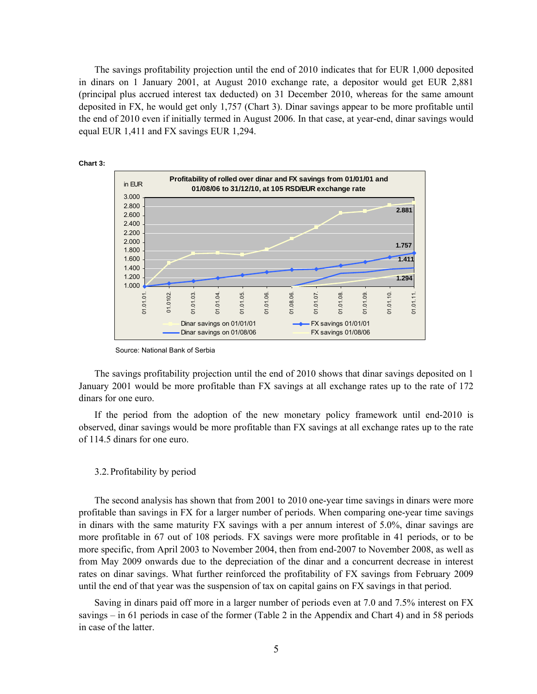The savings profitability projection until the end of 2010 indicates that for EUR 1,000 deposited in dinars on 1 January 2001, at August 2010 exchange rate, a depositor would get EUR 2,881 (principal plus accrued interest tax deducted) on 31 December 2010, whereas for the same amount deposited in FX, he would get only 1,757 (Chart 3). Dinar savings appear to be more profitable until the end of 2010 even if initially termed in August 2006. In that case, at year-end, dinar savings would equal EUR 1,411 and FX savings EUR 1,294.



**Source: National Bank of Serbia** 

The savings profitability projection until the end of 2010 shows that dinar savings deposited on 1 January 2001 would be more profitable than FX savings at all exchange rates up to the rate of 172 dinars for one euro.

If the period from the adoption of the new monetary policy framework until end-2010 is observed, dinar savings would be more profitable than FX savings at all exchange rates up to the rate of 114.5 dinars for one euro.

#### 3.2.Profitability by period

The second analysis has shown that from 2001 to 2010 one-year time savings in dinars were more profitable than savings in FX for a larger number of periods. When comparing one-year time savings in dinars with the same maturity FX savings with a per annum interest of 5.0%, dinar savings are more profitable in 67 out of 108 periods. FX savings were more profitable in 41 periods, or to be more specific, from April 2003 to November 2004, then from end-2007 to November 2008, as well as from May 2009 onwards due to the depreciation of the dinar and a concurrent decrease in interest rates on dinar savings. What further reinforced the profitability of FX savings from February 2009 until the end of that year was the suspension of tax on capital gains on FX savings in that period.

Saving in dinars paid off more in a larger number of periods even at 7.0 and 7.5% interest on FX savings – in 61 periods in case of the former (Table 2 in the Appendix and Chart 4) and in 58 periods in case of the latter.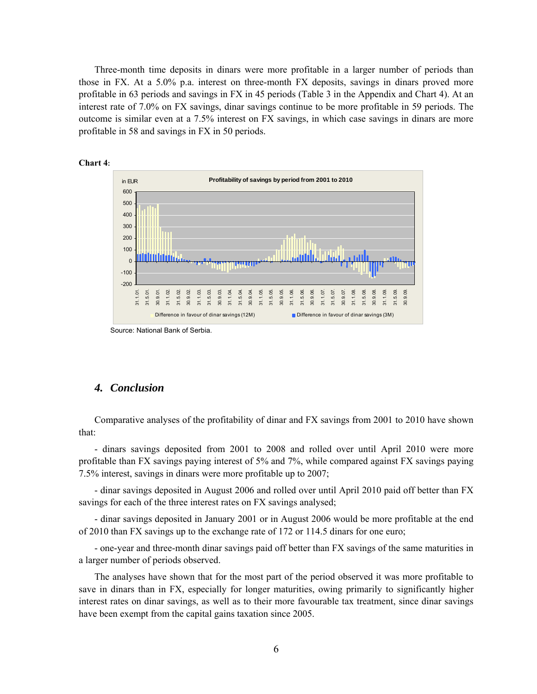Three-month time deposits in dinars were more profitable in a larger number of periods than those in FX. At a 5.0% p.a. interest on three-month FX deposits, savings in dinars proved more profitable in 63 periods and savings in FX in 45 periods (Table 3 in the Appendix and Chart 4). At an interest rate of 7.0% on FX savings, dinar savings continue to be more profitable in 59 periods. The outcome is similar even at a 7.5% interest on FX savings, in which case savings in dinars are more profitable in 58 and savings in FX in 50 periods.





# *4. Conclusion*

Comparative analyses of the profitability of dinar and FX savings from 2001 to 2010 have shown that:

- dinars savings deposited from 2001 to 2008 and rolled over until April 2010 were more profitable than FX savings paying interest of 5% and 7%, while compared against FX savings paying 7.5% interest, savings in dinars were more profitable up to 2007;

- dinar savings deposited in August 2006 and rolled over until April 2010 paid off better than FX savings for each of the three interest rates on FX savings analysed;

- dinar savings deposited in January 2001 or in August 2006 would be more profitable at the end of 2010 than FX savings up to the exchange rate of 172 or 114.5 dinars for one euro;

- one-year and three-month dinar savings paid off better than FX savings of the same maturities in a larger number of periods observed.

The analyses have shown that for the most part of the period observed it was more profitable to save in dinars than in FX, especially for longer maturities, owing primarily to significantly higher interest rates on dinar savings, as well as to their more favourable tax treatment, since dinar savings have been exempt from the capital gains taxation since 2005.

Source: National Bank of Serbia.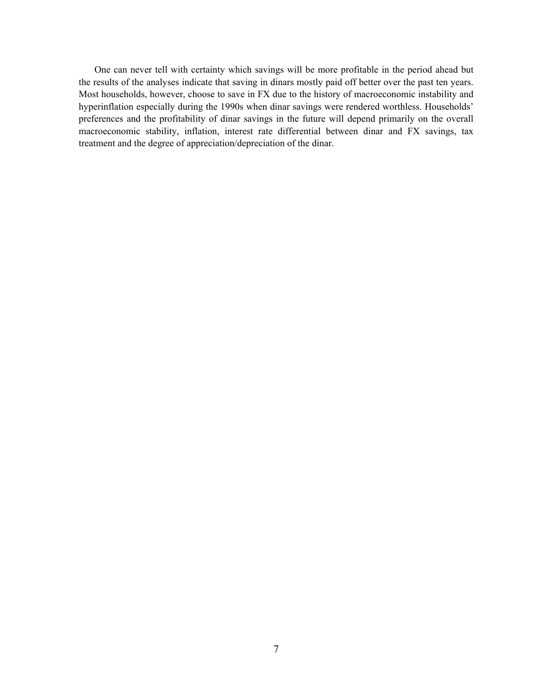One can never tell with certainty which savings will be more profitable in the period ahead but the results of the analyses indicate that saving in dinars mostly paid off better over the past ten years. Most households, however, choose to save in FX due to the history of macroeconomic instability and hyperinflation especially during the 1990s when dinar savings were rendered worthless. Households' preferences and the profitability of dinar savings in the future will depend primarily on the overall macroeconomic stability, inflation, interest rate differential between dinar and FX savings, tax treatment and the degree of appreciation/depreciation of the dinar.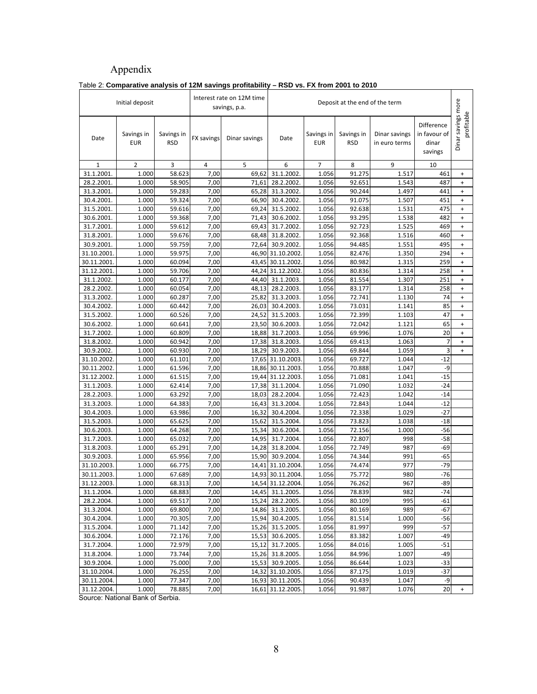# Appendix

|                          |                          | araavo anaryois or 12m savings |                   | Interest rate on 12M time |                                |                          |                          |                                |                                                |                                  |
|--------------------------|--------------------------|--------------------------------|-------------------|---------------------------|--------------------------------|--------------------------|--------------------------|--------------------------------|------------------------------------------------|----------------------------------|
|                          | Initial deposit          |                                |                   | savings, p.a.             | Deposit at the end of the term |                          |                          |                                |                                                |                                  |
| Date                     | Savings in<br><b>EUR</b> | Savings in<br><b>RSD</b>       | <b>FX savings</b> | Dinar savings             | Date                           | Savings in<br><b>EUR</b> | Savings in<br><b>RSD</b> | Dinar savings<br>in euro terms | Difference<br>in favour of<br>dinar<br>savings | Dinar savings more<br>profitable |
| $\mathbf{1}$             | 2                        | 3                              | 4                 | 5                         | 6                              | 7                        | 8                        | 9                              | 10                                             |                                  |
| 31.1.2001                | 1.000                    | 58.623                         | 7,00              | 69,62                     | 31.1.2002                      | 1.056                    | 91.275                   | 1.517                          | 461                                            | $\begin{array}{c} + \end{array}$ |
| 28.2.2001.               | 1.000                    | 58.905                         | 7,00              | 71,61                     | 28.2.2002.                     | 1.056                    | 92.651                   | 1.543                          | 487                                            | $\ddot{}$                        |
| 31.3.2001.               | 1.000                    | 59.283                         | 7,00              | 65,28                     | 31.3.2002.                     | 1.056                    | 90.244                   | 1.497                          | 441                                            | $\ddot{}$                        |
| 30.4.2001.               | 1.000                    | 59.324                         | 7,00              | 66,90                     | 30.4.2002.                     | 1.056                    | 91.075                   | 1.507                          | 451                                            | $\begin{array}{c} + \end{array}$ |
| 31.5.2001.               | 1.000                    | 59.616                         | 7,00              | 69,24                     | 31.5.2002.                     | 1.056                    | 92.638                   | 1.531                          | 475                                            | $\ddot{}$                        |
| 30.6.2001.               | 1.000                    | 59.368                         | 7,00              | 71,43                     | 30.6.2002.                     | 1.056                    | 93.295                   | 1.538                          | 482                                            | $\begin{array}{c} + \end{array}$ |
| 31.7.2001.               | 1.000                    | 59.612                         | 7,00              | 69,43                     | 31.7.2002.                     | 1.056                    | 92.723                   | 1.525                          | 469                                            | $\ddot{}$                        |
| 31.8.2001.               | 1.000                    | 59.676                         | 7,00              | 68,48                     | 31.8.2002.                     | 1.056                    | 92.368                   | 1.516                          | 460                                            | $\ddot{}$                        |
| 30.9.2001.               | 1.000                    | 59.759                         | 7,00              | 72,64                     | 30.9.2002.                     | 1.056                    | 94.485                   | 1.551                          | 495                                            | $\begin{array}{c} + \end{array}$ |
| 31.10.2001.              | 1.000                    | 59.975                         | 7,00              |                           | 46,90 31.10.2002               | 1.056                    | 82.476                   | 1.350                          | 294                                            | $\begin{array}{c} + \end{array}$ |
| 30.11.2001.              | 1.000                    | 60.094                         | 7,00              |                           | 43,45 30.11.2002               | 1.056                    | 80.982                   | 1.315                          | 259                                            | $\begin{array}{c} + \end{array}$ |
| 31.12.2001               | 1.000                    | 59.706                         | 7,00              | 44,24                     | 31.12.2002                     | 1.056                    | 80.836                   | 1.314                          | 258                                            | $\begin{array}{c} + \end{array}$ |
| 31.1.2002.               | 1.000                    | 60.177                         | 7,00              | 44,40                     | 31.1.2003                      | 1.056                    | 81.554                   | 1.307                          | 251                                            | $\begin{array}{c} + \end{array}$ |
| 28.2.2002.               | 1.000                    | 60.054                         | 7,00              | 48,13                     | 28.2.2003.                     | 1.056                    | 83.177                   | 1.314                          | 258                                            | $\begin{array}{c} + \end{array}$ |
| 31.3.2002.               | 1.000                    | 60.287                         | 7,00              | 25,82                     | 31.3.2003.                     | 1.056                    | 72.741                   | 1.130                          | 74                                             | $\begin{array}{c} + \end{array}$ |
| 30.4.2002                | 1.000                    | 60.442                         | 7,00              | 26,03                     | 30.4.2003                      | 1.056                    | 73.031                   | 1.141                          | 85                                             | $\ddot{}$                        |
| 31.5.2002.               | 1.000                    | 60.526                         | 7,00              | 24,52                     | 31.5.2003                      | 1.056                    | 72.399                   | 1.103                          | 47                                             | $\begin{array}{c} + \end{array}$ |
| 30.6.2002.               | 1.000                    | 60.641                         | 7,00              | 23,50                     | 30.6.2003.                     | 1.056                    | 72.042                   | 1.121                          | 65                                             | $\begin{array}{c} + \end{array}$ |
| 31.7.2002.               | 1.000                    | 60.809                         | 7,00              | 18,88                     | 31.7.2003                      | 1.056                    | 69.996                   | 1.076                          | 20                                             | $\ddot{}$                        |
| 31.8.2002.               | 1.000                    | 60.942                         | 7,00              | 17,38                     | 31.8.2003.                     | 1.056                    | 69.413                   | 1.063                          | 7                                              | $\begin{array}{c} + \end{array}$ |
| 30.9.2002.               | 1.000                    | 60.930                         | 7,00              | 18,29                     | 30.9.2003.                     | 1.056                    | 69.844                   | 1.059                          | 3                                              | $\ddot{}$                        |
| 31.10.2002               | 1.000                    | 61.101                         | 7,00              |                           | 17,65 31.10.2003               | 1.056                    | 69.727                   | 1.044                          | $-12$                                          |                                  |
| 30.11.2002               | 1.000                    | 61.596                         | 7,00              |                           | 18,86 30.11.2003               | 1.056                    | 70.888                   | 1.047                          | -9                                             |                                  |
| 31.12.2002               | 1.000                    | 61.515                         | 7,00              |                           | 19,44 31.12.2003               | 1.056                    | 71.081                   | 1.041                          | $-15$<br>$-24$                                 |                                  |
| 31.1.2003.               | 1.000                    | 62.414<br>63.292               | 7,00              | 17,38<br>18,03            | 31.1.2004.<br>28.2.2004        | 1.056                    | 71.090<br>72.423         | 1.032<br>1.042                 | $-14$                                          |                                  |
| 28.2.2003.               | 1.000                    |                                | 7,00              |                           |                                | 1.056                    |                          |                                | $-12$                                          |                                  |
| 31.3.2003.<br>30.4.2003. | 1.000<br>1.000           | 64.383<br>63.986               | 7,00<br>7,00      | 16,43<br>16,32            | 31.3.2004.<br>30.4.2004.       | 1.056<br>1.056           | 72.843<br>72.338         | 1.044<br>1.029                 | $-27$                                          |                                  |
| 31.5.2003.               | 1.000                    | 65.625                         | 7,00              | 15,62                     | 31.5.2004.                     | 1.056                    | 73.823                   | 1.038                          | $-18$                                          |                                  |
| 30.6.2003.               | 1.000                    | 64.268                         | 7,00              | 15,34                     | 30.6.2004.                     | 1.056                    | 72.156                   | 1.000                          | -56                                            |                                  |
| 31.7.2003.               | 1.000                    | 65.032                         | 7,00              | 14,95                     | 31.7.2004.                     | 1.056                    | 72.807                   | 998                            | $-58$                                          |                                  |
| 31.8.2003.               | 1.000                    | 65.291                         | 7,00              | 14,28                     | 31.8.2004.                     | 1.056                    | 72.749                   | 987                            | -69                                            |                                  |
| 30.9.2003.               | 1.000                    | 65.956                         | 7,00              | 15,90                     | 30.9.2004.                     | 1.056                    | 74.344                   | 991                            | -65                                            |                                  |
| 31.10.2003               | 1.000                    | 66.775                         | 7,00              | 14,41                     | 31.10.2004                     | 1.056                    | 74.474                   | 977                            | $-79$                                          |                                  |
| 30.11.2003.              | 1.000                    | 67.689                         | 7,00              |                           | 14,93 30.11.2004               | 1.056                    | 75.772                   | 980                            | $-76$                                          |                                  |
| 31.12.2003.              | 1.000                    | 68.313                         | 7,00              |                           | 14,54 31.12.2004.              | 1.056                    | 76.262                   | 967                            | $-89$                                          |                                  |
| 31.1.2004.               | 1.000                    | 68.883                         | 7,00              |                           | 14,45 31.1.2005.               | $\overline{1.056}$       | 78.839                   | 982                            | $-74$                                          |                                  |
| 28.2.2004.               | 1.000                    | 69.517                         | 7,00              |                           | 15,24 28.2.2005.               | 1.056                    | 80.109                   | 995                            | $-61$                                          |                                  |
| 31.3.2004.               | 1.000                    | 69.800                         | 7,00              |                           | 14,86 31.3.2005.               | 1.056                    | 80.169                   | 989                            | -67                                            |                                  |
| 30.4.2004.               | 1.000                    | 70.305                         | 7,00              |                           | 15,94 30.4.2005.               | 1.056                    | 81.514                   | 1.000                          | $-56$                                          |                                  |
| 31.5.2004.               | 1.000                    | 71.142                         | 7,00              | 15,26                     | 31.5.2005.                     | 1.056                    | 81.997                   | 999                            | $-57$                                          |                                  |
| 30.6.2004.               | 1.000                    | 72.176                         | 7,00              | 15,53                     | 30.6.2005.                     | 1.056                    | 83.382                   | 1.007                          | $-49$                                          |                                  |
| 31.7.2004.               | 1.000                    | 72.979                         | 7,00              |                           | 15,12 31.7.2005.               | 1.056                    | 84.016                   | 1.005                          | $-51$                                          |                                  |
| 31.8.2004.               | 1.000                    | 73.744                         | 7,00              |                           | 15,26 31.8.2005.               | 1.056                    | 84.996                   | 1.007                          | $-49$                                          |                                  |
| 30.9.2004.               | 1.000                    | 75.000                         | 7,00              | 15,53                     | 30.9.2005.                     | 1.056                    | 86.644                   | 1.023                          | $-33$                                          |                                  |
| 31.10.2004.              | 1.000                    | 76.255                         | 7,00              |                           | 14,32 31.10.2005               | 1.056                    | 87.175                   | 1.019                          | $-37$                                          |                                  |
| 30.11.2004.              | 1.000                    | 77.347                         | 7,00              |                           | 16,93 30.11.2005.              | 1.056                    | 90.439                   | 1.047                          | -9                                             |                                  |
| 31.12.2004.              | 1.000                    | 78.885                         | 7,00              |                           | 16,61 31.12.2005.              | 1.056                    | 91.987                   | 1.076                          | 20                                             | $\ddot{}$                        |

# Table 2: **Comparative analysis of 12M savings profitability – RSD vs. FX from 2001 to 2010**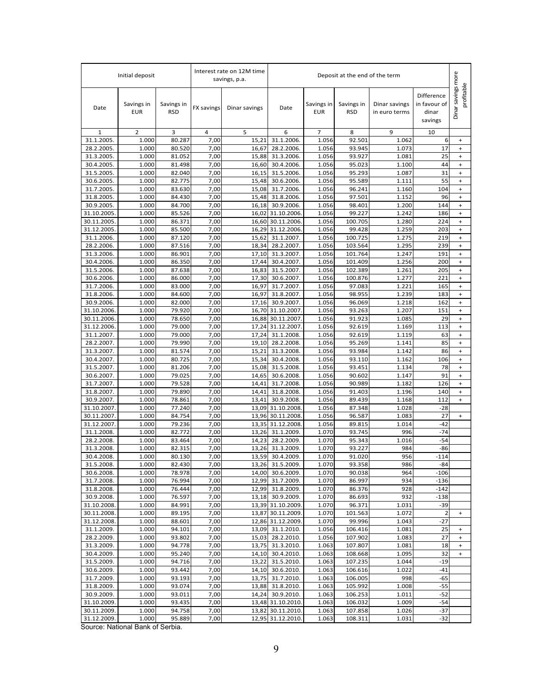|                            | Initial deposit          |                          |                   | Interest rate on 12M time<br>savings, p.a. | Deposit at the end of the term         |                          |                          |                                |                                                |                                  |
|----------------------------|--------------------------|--------------------------|-------------------|--------------------------------------------|----------------------------------------|--------------------------|--------------------------|--------------------------------|------------------------------------------------|----------------------------------|
| Date                       | Savings in<br><b>EUR</b> | Savings in<br><b>RSD</b> | <b>FX savings</b> | Dinar savings                              | Date                                   | Savings in<br><b>EUR</b> | Savings in<br><b>RSD</b> | Dinar savings<br>in euro terms | Difference<br>in favour of<br>dinar<br>savings | Dinar savings more<br>profitable |
| 1                          | 2                        | 3                        | 4                 | 5                                          | 6                                      | 7                        | 8                        | 9                              | 10                                             |                                  |
| 31.1.2005                  | 1.000                    | 80.287                   | 7,00              | 15,21                                      | 31.1.2006.                             | 1.056                    | 92.501                   | 1.062                          | 6                                              | $\ddot{}$                        |
| 28.2.2005<br>31.3.2005     | 1.000                    | 80.520                   | 7,00              | 16,67                                      | 28.2.2006                              | 1.056                    | 93.945                   | 1.073                          | 17<br>25                                       | $\ddot{}$<br>$+$                 |
| 30.4.2005.                 | 1.000<br>1.000           | 81.052<br>81.498         | 7,00<br>7,00      | 15,88<br>16,60                             | 31.3.2006<br>30.4.2006                 | 1.056<br>1.056           | 93.927<br>95.023         | 1.081<br>1.100                 | 44                                             | $\ddot{}$                        |
| 31.5.2005.                 | 1.000                    | 82.040                   | 7,00              | 16,15                                      | 31.5.2006                              | 1.056                    | 95.293                   | 1.087                          | 31                                             | $\ddot{}$                        |
| 30.6.2005.                 | 1.000                    | 82.775                   | 7,00              | 15,48                                      | 30.6.2006                              | 1.056                    | 95.589                   | 1.111                          | 55                                             | $\ddot{}$                        |
| 31.7.2005.                 | 1.000                    | 83.630                   | 7,00              | 15,08                                      | 31.7.2006                              | 1.056                    | 96.241                   | 1.160                          | 104                                            | $\ddot{}$                        |
| 31.8.2005.                 | 1.000                    | 84.430                   | 7,00              | 15,48                                      | 31.8.2006                              | 1.056                    | 97.501                   | 1.152                          | 96                                             | $\ddot{}$                        |
| 30.9.2005.                 | 1.000                    | 84.700                   | 7,00              | 16,18                                      | 30.9.2006.                             | 1.056                    | 98.401                   | 1.200                          | 144                                            | $+$                              |
| 31.10.2005.                | 1.000                    | 85.526                   | 7,00              | 16,02                                      | 31.10.2006                             | 1.056                    | 99.227                   | 1.242                          | 186                                            | $\ddot{}$                        |
| 30.11.2005.                | 1.000                    | 86.371                   | 7,00              |                                            | 16,60 30.11.2006                       | 1.056                    | 100.705                  | 1.280                          | 224                                            | $+$                              |
| 31.12.2005                 | 1.000<br>1.000           | 85.500<br>87.120         | 7,00              | 16,29                                      | 31.12.2006                             | 1.056<br>1.056           | 99.428<br>100.725        | 1.259<br>1.275                 | 203<br>219                                     | $\ddot{}$                        |
| 31.1.2006.<br>28.2.2006.   | 1.000                    | 87.516                   | 7,00<br>7,00      | 15,62<br>18,34                             | 31.1.2007<br>28.2.2007.                | 1.056                    | 103.564                  | 1.295                          | 239                                            | $\ddot{}$<br>$\ddot{}$           |
| 31.3.2006.                 | 1.000                    | 86.901                   | 7,00              | 17,10                                      | 31.3.2007.                             | 1.056                    | 101.764                  | 1.247                          | 191                                            | $\ddot{}$                        |
| 30.4.2006.                 | 1.000                    | 86.350                   | 7,00              | 17,44                                      | 30.4.2007                              | 1.056                    | 101.409                  | 1.256                          | 200                                            | $\ddot{}$                        |
| 31.5.2006.                 | 1.000                    | 87.638                   | 7,00              | 16,83                                      | 31.5.2007                              | 1.056                    | 102.389                  | 1.261                          | 205                                            | $\ddot{}$                        |
| 30.6.2006.                 | 1.000                    | 86.000                   | 7,00              | 17,30                                      | 30.6.2007                              | 1.056                    | 100.876                  | 1.277                          | 221                                            | $\ddot{}$                        |
| 31.7.2006.                 | 1.000                    | 83.000                   | 7,00              | 16,97                                      | 31.7.2007.                             | 1.056                    | 97.083                   | 1.221                          | 165                                            | $\ddot{}$                        |
| 31.8.2006.                 | 1.000                    | 84.600                   | 7,00              | 16,97                                      | 31.8.2007.                             | 1.056                    | 98.955                   | 1.239                          | 183                                            | $\ddot{}$                        |
| 30.9.2006.                 | 1.000                    | 82.000                   | 7,00              | 17,16                                      | 30.9.2007.                             | 1.056                    | 96.069                   | 1.218                          | 162                                            | $+$                              |
| 31.10.2006.<br>30.11.2006. | 1.000<br>1.000           | 79.920<br>78.650         | 7,00<br>7,00      | 16,70<br>16,88                             | 31.10.2007<br>30.11.2007               | 1.056<br>1.056           | 93.263<br>91.923         | 1.207<br>1.085                 | 151<br>29                                      | $\ddot{}$<br>$+$                 |
| 31.12.2006.                | 1.000                    | 79.000                   | 7,00              |                                            | 17,24 31.12.2007                       | 1.056                    | 92.619                   | 1.169                          | 113                                            | $\ddot{}$                        |
| 31.1.2007.                 | 1.000                    | 79.000                   | 7,00              | 17,24                                      | 31.1.2008                              | 1.056                    | 92.619                   | 1.119                          | 63                                             | $\ddot{}$                        |
| 28.2.2007.                 | 1.000                    | 79.990                   | 7,00              | 19,10                                      | 28.2.2008                              | 1.056                    | 95.269                   | 1.141                          | 85                                             | $\ddot{}$                        |
| 31.3.2007.                 | 1.000                    | 81.574                   | 7,00              | 15,21                                      | 31.3.2008                              | 1.056                    | 93.984                   | 1.142                          | 86                                             | $+$                              |
| 30.4.2007.                 | 1.000                    | 80.725                   | 7,00              | 15,34                                      | 30.4.2008                              | 1.056                    | 93.110                   | 1.162                          | 106                                            | $\ddot{}$                        |
| 31.5.2007.                 | 1.000                    | 81.206                   | 7,00              | 15,08                                      | 31.5.2008                              | 1.056                    | 93.451                   | 1.134                          | 78                                             | $\ddot{}$                        |
| 30.6.2007.                 | 1.000                    | 79.025                   | 7,00              | 14,65                                      | 30.6.2008                              | 1.056                    | 90.602                   | 1.147                          | 91                                             | $\ddot{}$                        |
| 31.7.2007.<br>31.8.2007.   | 1.000<br>1.000           | 79.528<br>79.890         | 7,00              | 14,41<br>14,41                             | 31.7.2008                              | 1.056<br>1.056           | 90.989<br>91.403         | 1.182<br>1.196                 | 126<br>140                                     | $\ddot{}$                        |
| 30.9.2007.                 | 1.000                    | 78.861                   | 7,00<br>7,00      | 13,41                                      | 31.8.2008<br>30.9.2008.                | 1.056                    | 89.439                   | 1.168                          | 112                                            | $\ddot{}$<br>$+$                 |
| 31.10.2007.                | 1.000                    | 77.240                   | 7,00              | 13,09                                      | 31.10.2008                             | 1.056                    | 87.348                   | 1.028                          | -28                                            |                                  |
| 30.11.2007.                | 1.000                    | 84.754                   | 7,00              | 13,96                                      | 30.11.2008                             | 1.056                    | 96.587                   | 1.083                          | 27                                             | $+$                              |
| 31.12.2007.                | 1.000                    | 79.236                   | 7,00              |                                            | 13,35 31.12.2008                       | 1.056                    | 89.815                   | 1.014                          | $-42$                                          |                                  |
| 31.1.2008                  | 1.000                    | 82.772                   | 7,00              | 13,26                                      | 31.1.2009                              | 1.070                    | 93.745                   | 996                            | $-74$                                          |                                  |
| 28.2.2008                  | 1.000                    | 83.464                   | 7,00              | 14,23                                      | 28.2.2009                              | 1.070                    | 95.343                   | 1.016                          | $-54$                                          |                                  |
| 31.3.2008.                 | 1.000                    | 82.315                   | 7,00              | 13,26                                      | 31.3.2009.                             | 1.070                    | 93.227                   | 984                            | -86                                            |                                  |
| 30.4.2008.<br>31.5.2008.   | 1.000<br>1.000           | 80.130<br>82.430         | 7,00<br>7,00      |                                            | 13,59 30.4.2009.<br>13,26 31.5.2009.   | 1.070<br>1.070           | 91.020<br>93.358         | 956<br>986                     | $-114$<br>$-84$                                |                                  |
| 30.6.2008.                 | 1.000                    | 78.978                   | 7,00              |                                            | 14,00 30.6.2009.                       | 1.070                    | 90.038                   | 964                            | $-106$                                         |                                  |
| 31.7.2008.                 | 1.000                    | 76.994                   | 7,00              |                                            | 12,99 31.7.2009.                       | 1.070                    | 86.997                   | 934                            | $-136$                                         |                                  |
| 31.8.2008.                 | 1.000                    | 76.444                   | 7,00              |                                            | 12,99 31.8.2009.                       | 1.070                    | 86.376                   | 928                            | $-142$                                         |                                  |
| 30.9.2008.                 | 1.000                    | 76.597                   | 7,00              |                                            | 13,18 30.9.2009.                       | 1.070                    | 86.693                   | 932                            | $-138$                                         |                                  |
| 31.10.2008.                | 1.000                    | 84.991                   | 7,00              |                                            | 13,39 31.10.2009                       | 1.070                    | 96.371                   | 1.031                          | $-39$                                          |                                  |
| 30.11.2008.                | 1.000                    | 89.195                   | 7,00              |                                            | 13,87 30.11.2009.                      | 1.070                    | 101.563                  | 1.072                          | $\overline{2}$                                 | $\ddot{}$                        |
| 31.12.2008.                | 1.000                    | 88.601                   | 7,00              |                                            | 12,86 31.12.2009.                      | 1.070                    | 99.996                   | 1.043                          | $-27$                                          |                                  |
| 31.1.2009.<br>28.2.2009.   | 1.000<br>1.000           | 94.101<br>93.802         | 7,00<br>7,00      |                                            | 13,09 31.1.2010.<br>28.2.2010.         | 1.056<br>1.056           | 106.416<br>107.902       | 1.081<br>1.083                 | 25<br>27                                       |                                  |
| 31.3.2009.                 | 1.000                    | 94.778                   | 7,00              | 15,03<br>13,75                             | 31.3.2010.                             | 1.063                    | 107.807                  | 1.081                          | 18                                             |                                  |
| 30.4.2009.                 | 1.000                    | 95.240                   | 7,00              |                                            | 14,10 30.4.2010.                       | 1.063                    | 108.668                  | 1.095                          | 32                                             | $\ddot{}$                        |
| 31.5.2009.                 | 1.000                    | 94.716                   | 7,00              | 13,22                                      | 31.5.2010.                             | 1.063                    | 107.235                  | 1.044                          | $-19$                                          |                                  |
| 30.6.2009.                 | 1.000                    | 93.442                   | 7,00              |                                            | 14,10 30.6.2010.                       | 1.063                    | 106.616                  | 1.022                          | $-41$                                          |                                  |
| 31.7.2009.                 | 1.000                    | 93.193                   | 7,00              | 13,75                                      | 31.7.2010.                             | 1.063                    | 106.005                  | 998                            | $-65$                                          |                                  |
| 31.8.2009.                 | 1.000                    | 93.074                   | 7,00              |                                            | 13,88 31.8.2010.                       | 1.063                    | 105.992                  | 1.008                          | $-55$                                          |                                  |
| 30.9.2009.                 | 1.000                    | 93.011                   | 7,00              |                                            | 14,24 30.9.2010.                       | 1.063                    | 106.253                  | 1.011                          | $-52$                                          |                                  |
| 31.10.2009.<br>30.11.2009. | 1.000<br>1.000           | 93.435<br>94.758         | 7,00              |                                            | 13,48 31.10.2010.<br>13,82 30.11.2010. | 1.063<br>1.063           | 106.032<br>107.858       | 1.009<br>1.026                 | $-54$<br>$-37$                                 |                                  |
| 31.12.2009.                | 1.000                    | 95.889                   | 7,00<br>7,00      |                                            | 12,95 31.12.2010.                      | 1.063                    | 108.311                  | 1.031                          | $-32$                                          |                                  |
|                            |                          |                          |                   |                                            |                                        |                          |                          |                                |                                                |                                  |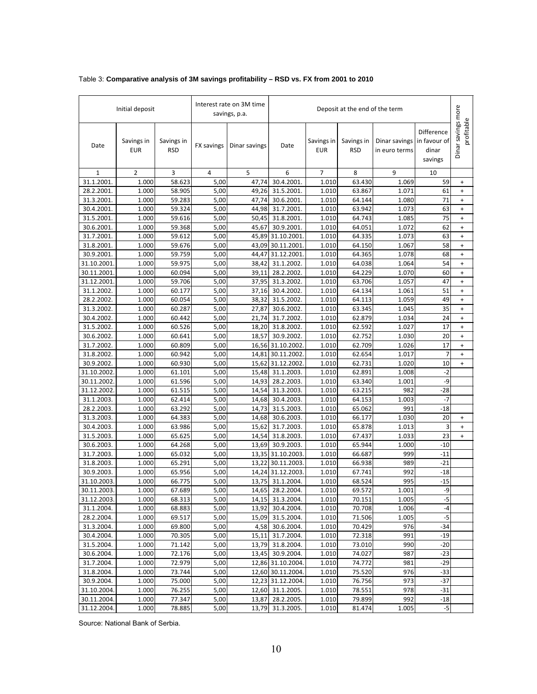|                           | Initial deposit          |                          |              | Interest rate on 3M time<br>savings, p.a. | Deposit at the end of the term |                   |                          |                                |                                                |                                  |
|---------------------------|--------------------------|--------------------------|--------------|-------------------------------------------|--------------------------------|-------------------|--------------------------|--------------------------------|------------------------------------------------|----------------------------------|
| Date                      | Savings in<br><b>EUR</b> | Savings in<br><b>RSD</b> | FX savings   | Dinar savings                             | Date                           | Savings in<br>EUR | Savings in<br><b>RSD</b> | Dinar savings<br>in euro terms | Difference<br>in favour of<br>dinar<br>savings | Dinar savings more<br>profitable |
| $\mathbf{1}$              | $\overline{2}$           | 3                        | 4            | 5                                         | 6                              | $\overline{7}$    | 8                        | 9                              | 10                                             |                                  |
| 31.1.2001.                | 1.000                    | 58.623                   | 5,00         | 47,74                                     | 30.4.2001                      | 1.010             | 63.430                   | 1.069                          | 59                                             | $\ddot{}$                        |
| 28.2.2001                 | 1.000                    | 58.905                   | 5,00         | 49,26                                     | 31.5.2001.                     | 1.010             | 63.867                   | 1.071                          | 61                                             | $\ddot{}$                        |
| 31.3.2001.                | 1.000                    | 59.283                   | 5,00         | 47,74                                     | 30.6.2001.                     | 1.010             | 64.144                   | 1.080                          | 71                                             | $\ddot{}$                        |
| 30.4.2001.                | 1.000                    | 59.324                   | 5,00         | 44,98                                     | 31.7.2001.                     | 1.010             | 63.942                   | 1.073                          | 63                                             | $\ddot{}$                        |
| 31.5.2001.                | 1.000                    | 59.616                   | 5,00         | 50,45                                     | 31.8.2001.                     | 1.010             | 64.743                   | 1.085                          | 75                                             | $\ddot{}$                        |
| 30.6.2001.                | 1.000                    | 59.368                   | 5,00         | 45,67                                     | 30.9.2001.                     | 1.010             | 64.051                   | 1.072                          | 62                                             | $\ddot{}$                        |
| 31.7.2001.                | 1.000                    | 59.612                   | 5,00         | 45,89                                     | 31.10.2001                     | 1.010             | 64.335                   | 1.073                          | 63                                             | $\ddot{}$                        |
| 31.8.2001                 | 1.000                    | 59.676                   | 5,00         | 43,09                                     | 30.11.2001                     | 1.010             | 64.150                   | 1.067                          | 58                                             | $\ddot{}$                        |
| 30.9.2001                 | 1.000                    | 59.759                   | 5,00         | 44,47                                     | 31.12.2001                     | 1.010             | 64.365                   | 1.078                          | 68                                             | $\ddot{}$                        |
| 31.10.2001                | 1.000                    | 59.975                   | 5,00         | 38,42                                     | 31.1.2002.                     | 1.010             | 64.038                   | 1.064                          | 54                                             | $\ddot{}$                        |
| 30.11.2001                | 1.000                    | 60.094                   | 5,00         | 39,11                                     | 28.2.2002.                     | 1.010             | 64.229                   | 1.070                          | 60                                             | $\ddot{}$                        |
| 31.12.2001                | 1.000                    | 59.706                   | 5,00         | 37,95                                     | 31.3.2002.                     | 1.010             | 63.706                   | 1.057                          | 47                                             | $\ddot{}$                        |
| 31.1.2002.                | 1.000                    | 60.177                   | 5,00         | 37,16                                     | 30.4.2002.                     | 1.010             | 64.134                   | 1.061                          | 51                                             | $\ddot{}$                        |
| 28.2.2002.                | 1.000                    | 60.054                   | 5,00         | 38,32                                     | 31.5.2002.                     | 1.010             | 64.113                   | 1.059                          | 49                                             | $\begin{array}{c} + \end{array}$ |
| 31.3.2002.                | 1.000                    | 60.287                   | 5,00         | 27,87                                     | 30.6.2002.                     | 1.010             | 63.345                   | 1.045                          | 35                                             | $\ddot{}$                        |
| 30.4.2002.                | 1.000                    | 60.442                   | 5,00         | 21,74                                     | 31.7.2002.                     | 1.010             | 62.879                   | 1.034                          | 24                                             | $\ddot{}$                        |
| 31.5.2002.                | 1.000                    | 60.526                   | 5,00         | 18,20                                     | 31.8.2002.                     | 1.010             | 62.592                   | 1.027                          | 17                                             | $\ddot{}$                        |
| 30.6.2002.                | 1.000                    | 60.641                   | 5,00         | 18,57                                     | 30.9.2002.                     | 1.010             | 62.752                   | 1.030                          | 20                                             | $\ddot{}$                        |
| 31.7.2002.                | 1.000                    | 60.809                   | 5,00         | 16,56                                     | 31.10.2002                     | 1.010             | 62.709                   | 1.026                          | 17                                             | $\ddot{}$                        |
| 31.8.2002.                | 1.000                    | 60.942                   | 5,00         | 14,81                                     | 30.11.2002                     | 1.010             | 62.654                   | 1.017                          | 7                                              | $\ddot{}$                        |
| 30.9.2002.                | 1.000                    | 60.930                   | 5,00         | 15,62                                     | 31.12.2002.                    | 1.010             | 62.731                   | 1.020                          | 10                                             | $\ddot{}$                        |
| 31.10.2002                | 1.000                    | 61.101                   | 5,00         | 15,48                                     | 31.1.2003.                     | 1.010             | 62.891                   | 1.008                          | $-2$                                           |                                  |
| 30.11.2002                | 1.000                    | 61.596                   | 5,00         | 14,93                                     | 28.2.2003.                     | 1.010             | 63.340                   | 1.001                          | -9                                             |                                  |
| 31.12.2002                | 1.000                    | 61.515                   | 5,00         | 14,54                                     | 31.3.2003.                     | 1.010             | 63.215                   | 982                            | $-28$                                          |                                  |
| 31.1.2003.                | 1.000                    | 62.414                   | 5,00         | 14,68                                     | 30.4.2003.                     | 1.010             | 64.153                   | 1.003                          | $-7$                                           |                                  |
| 28.2.2003.                | 1.000                    | 63.292                   | 5,00         | 14,73                                     | 31.5.2003.                     | 1.010             | 65.062                   | 991                            | $-18$                                          |                                  |
| 31.3.2003.                | 1.000                    | 64.383                   | 5,00         | 14,68                                     | 30.6.2003.                     | 1.010             | 66.177                   | 1.030                          | 20                                             | $\ddot{}$                        |
| 30.4.2003.                | 1.000                    | 63.986                   | 5,00         | 15,62                                     | 31.7.2003.                     | 1.010             | 65.878                   | 1.013                          | 3                                              | $\ddot{}$                        |
| 31.5.2003.                | 1.000                    | 65.625                   | 5,00         | 14,54                                     | 31.8.2003.                     | 1.010             | 67.437                   | 1.033                          | 23                                             | $\ddot{}$                        |
| 30.6.2003.                | 1.000                    | 64.268                   | 5,00         | 13,69                                     | 30.9.2003.                     | 1.010             | 65.944                   | 1.000                          | $-10$                                          |                                  |
| 31.7.2003.                | 1.000                    | 65.032                   | 5,00         | 13,35                                     | 31.10.2003                     | 1.010             | 66.687                   | 999                            | $-11$                                          |                                  |
| 31.8.2003.                | 1.000                    | 65.291                   | 5,00         | 13,22                                     | 30.11.2003                     | 1.010             | 66.938                   | 989                            | $-21$                                          |                                  |
| 30.9.2003.                | 1.000                    | 65.956                   | 5,00         | 14,24                                     | 31.12.2003                     | 1.010             | 67.741                   | 992                            | $-18$                                          |                                  |
| 31.10.2003                | 1.000                    | 66.775                   | 5,00         | 13,75                                     | 31.1.2004.                     | 1.010             | 68.524                   | 995                            | $-15$                                          |                                  |
| 30.11.2003.               | 1.000                    | 67.689                   | 5,00         |                                           | 14,65 28.2.2004.               | 1.010             | 69.572                   | 1.001                          | -9                                             |                                  |
| 31.12.2003.<br>31.1.2004. | 1.000                    | 68.313<br>68.883         | 5,00         | 14,15                                     | 31.3.2004.                     | 1.010             | 70.151                   | 1.005                          | $-5$                                           |                                  |
|                           | 1.000                    | 69.517                   | 5,00         | 13,92                                     | 30.4.2004.                     | 1.010             | 70.708<br>71.506         | 1.006<br>1.005                 | $-4$                                           |                                  |
| 28.2.2004.                | 1.000                    |                          | 5,00         |                                           | 15,09 31.5.2004.               | 1.010<br>1.010    |                          | 976                            | $-5$<br>$-34$                                  |                                  |
| 31.3.2004.                | 1.000                    | 69.800                   | 5,00         |                                           | 4,58 30.6.2004.                |                   | 70.429                   |                                | $-19$                                          |                                  |
| 30.4.2004.<br>31.5.2004.  | 1.000<br>1.000           | 70.305<br>71.142         | 5,00<br>5,00 | 15,11                                     | 31.7.2004.<br>13,79 31.8.2004. | 1.010<br>1.010    | 72.318<br>73.010         | 991<br>990                     | $-20$                                          |                                  |
| 30.6.2004.                | 1.000                    | 72.176                   | 5,00         |                                           | 13,45 30.9.2004.               | 1.010             | 74.027                   | 987                            | $-23$                                          |                                  |
| 31.7.2004.                | 1.000                    | 72.979                   | 5,00         |                                           | 12,86 31.10.2004.              | 1.010             | 74.772                   | 981                            | $-29$                                          |                                  |
| 31.8.2004.                | 1.000                    | 73.744                   | 5,00         |                                           | 12,60 30.11.2004.              | 1.010             | 75.520                   | 976                            | $-33$                                          |                                  |
| 30.9.2004.                | 1.000                    | 75.000                   | 5,00         |                                           | 12,23 31.12.2004.              | 1.010             | 76.756                   | 973                            | $-37$                                          |                                  |
| 31.10.2004.               | 1.000                    | 76.255                   | 5,00         |                                           | 12,60 31.1.2005.               | 1.010             | 78.551                   | 978                            | $-31$                                          |                                  |
| 30.11.2004.               | 1.000                    | 77.347                   | 5,00         |                                           | 13,87 28.2.2005.               | 1.010             | 79.899                   | 992                            | $-18$                                          |                                  |
| 31.12.2004.               | 1.000                    | 78.885                   | 5,00         | 13,79                                     | 31.3.2005.                     | 1.010             | 81.474                   | 1.005                          | $-5$                                           |                                  |

#### Table 3: **Comparative analysis of 3M savings profitability – RSD vs. FX from 2001 to 2010**